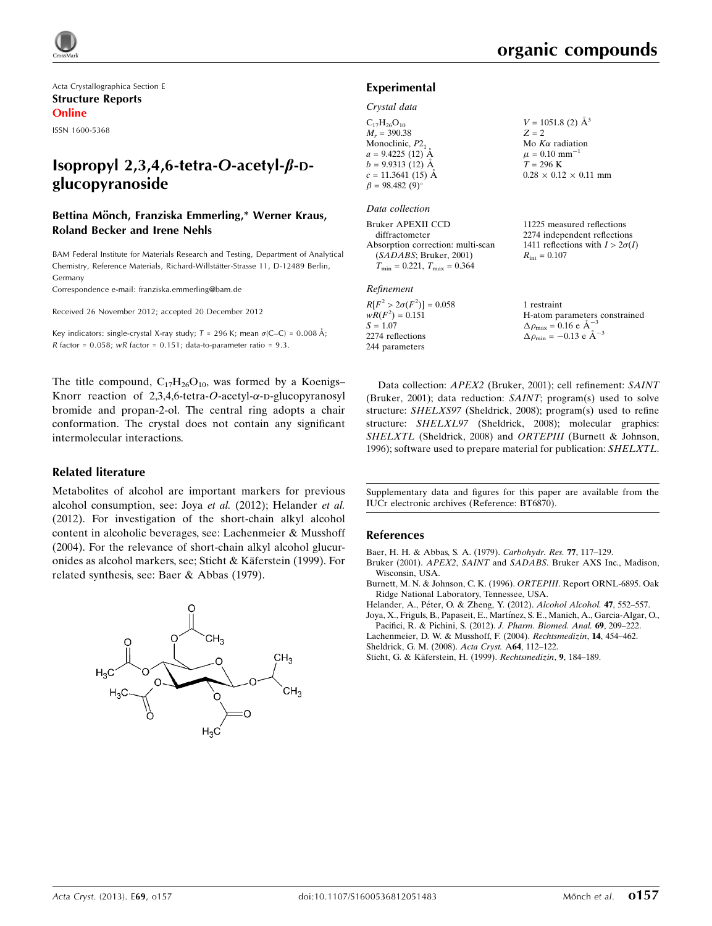Acta Crystallographica Section E Structure Reports Online

ISSN 1600-5368

# Isopropyl 2,3,4,6-tetra-O-acetyl- $\beta$ -Dglucopyranoside

## Bettina Mönch, Franziska Emmerling,\* Werner Kraus, Roland Becker and Irene Nehls

BAM Federal Institute for Materials Research and Testing, Department of Analytical Chemistry, Reference Materials, Richard-Willstätter-Strasse 11, D-12489 Berlin, Germany

Correspondence e-mail: [franziska.emmerling@bam.de](https://scripts.iucr.org/cgi-bin/cr.cgi?rm=pdfbb&cnor=bt6870&bbid=BB8)

Received 26 November 2012; accepted 20 December 2012

Key indicators: single-crystal X-ray study;  $T = 296$  K; mean  $\sigma$ (C–C) = 0.008 Å; R factor =  $0.058$ ; wR factor =  $0.151$ ; data-to-parameter ratio =  $9.3$ .

The title compound,  $C_{17}H_{26}O_{10}$ , was formed by a Koenigs– Knorr reaction of 2,3,4,6-tetra-O-acetyl- $\alpha$ -D-glucopyranosyl bromide and propan-2-ol. The central ring adopts a chair conformation. The crystal does not contain any significant intermolecular interactions.

### Related literature

Metabolites of alcohol are important markers for previous alcohol consumption, see: Joya et al. (2012); Helander et al. (2012). For investigation of the short-chain alkyl alcohol content in alcoholic beverages, see: Lachenmeier & Musshoff (2004). For the relevance of short-chain alkyl alcohol glucuronides as alcohol markers, see; Sticht & Käferstein (1999). For related synthesis, see: Baer & Abbas (1979).



### Experimental

#### Crystal data

| $V = 1051.8$ (2) $\AA^3$         |
|----------------------------------|
| $Z = 2$                          |
| Mo $K\alpha$ radiation           |
| $\mu = 0.10$ mm <sup>-1</sup>    |
| $T = 296$ K                      |
| $0.28 \times 0.12 \times 0.11$ n |
|                                  |
|                                  |
|                                  |

## Data collection

Bruker APEXII CCD diffractometer Absorption correction: multi-scan (SADABS; Bruker, 2001)  $T_{\text{min}} = 0.221, T_{\text{max}} = 0.364$ 

#### Refinement

 $R[F^2 > 2\sigma(F^2)] = 0.058$  $wR(F^2) = 0.151$  $S = 1.07$ 2274 reflections 244 parameters

 $0.28 \times 0.12 \times 0.11$  mm

11225 measured reflections 2274 independent reflections 1411 reflections with  $I > 2\sigma(I)$  $R_{\text{int}} = 0.107$ 

1 restraint H-atom parameters constrained  $\Delta \rho_{\text{max}} = 0.16 \text{ e A}^{-3}$  $\Delta \rho_{\rm min} = -0.13 \text{ e } \text{\AA}^{-3}$ 

Data collection: APEX2 (Bruker, 2001); cell refinement: SAINT (Bruker, 2001); data reduction: SAINT; program(s) used to solve structure: SHELXS97 (Sheldrick, 2008); program(s) used to refine structure: SHELXL97 (Sheldrick, 2008); molecular graphics: SHELXTL (Sheldrick, 2008) and ORTEPIII (Burnett & Johnson, 1996); software used to prepare material for publication: SHELXTL.

Supplementary data and figures for this paper are available from the IUCr electronic archives (Reference: BT6870).

### References

[Baer, H. H. & Abbas, S. A. \(1979\).](https://scripts.iucr.org/cgi-bin/cr.cgi?rm=pdfbb&cnor=bt6870&bbid=BB1) Carbohydr. Res. 77, 117–129.

Bruker (2001). APEX2, SAINT and SADABS[. Bruker AXS Inc., Madison,](https://scripts.iucr.org/cgi-bin/cr.cgi?rm=pdfbb&cnor=bt6870&bbid=BB2) [Wisconsin, USA.](https://scripts.iucr.org/cgi-bin/cr.cgi?rm=pdfbb&cnor=bt6870&bbid=BB2)

[Burnett, M. N. & Johnson, C. K. \(1996\).](https://scripts.iucr.org/cgi-bin/cr.cgi?rm=pdfbb&cnor=bt6870&bbid=BB3) ORTEPIII. Report ORNL-6895. Oak [Ridge National Laboratory, Tennessee, USA.](https://scripts.iucr.org/cgi-bin/cr.cgi?rm=pdfbb&cnor=bt6870&bbid=BB3)

Helander, A., Péter, O. & Zheng, Y. (2012). Alcohol Alcohol. 47, 552-557.

Joya, X., Friguls, B., Papaseit, E., Martínez, S. E., Manich, A., Garcia-Algar, O., [Pacifici, R. & Pichini, S. \(2012\).](https://scripts.iucr.org/cgi-bin/cr.cgi?rm=pdfbb&cnor=bt6870&bbid=BB5) J. Pharm. Biomed. Anal. 69, 209–222.

[Lachenmeier, D. W. & Musshoff, F. \(2004\).](https://scripts.iucr.org/cgi-bin/cr.cgi?rm=pdfbb&cnor=bt6870&bbid=BB6) Rechtsmedizin, 14, 454–462.

[Sheldrick, G. M. \(2008\).](https://scripts.iucr.org/cgi-bin/cr.cgi?rm=pdfbb&cnor=bt6870&bbid=BB7) Acta Cryst. A64, 112–122.

Sticht, G. & Käferstein, H. (1999). Rechtsmedizin, 9, 184-189.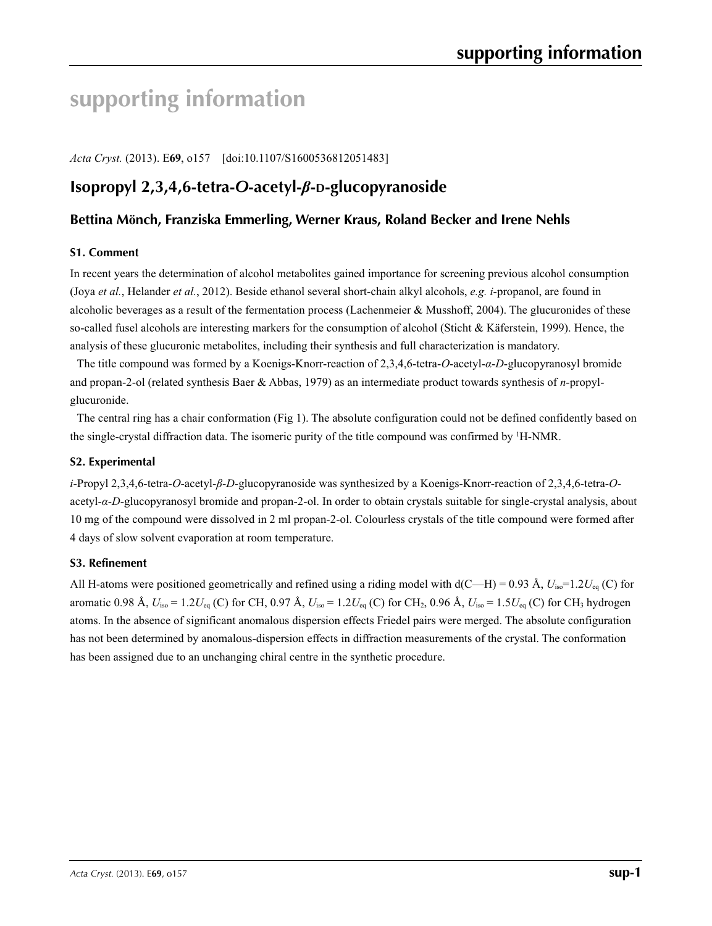# **supporting information**

*Acta Cryst.* (2013). E**69**, o157 [doi:10.1107/S1600536812051483]

# **Isopropyl 2,3,4,6-tetra-***O***-acetyl-***β***-D-glucopyranoside**

## **Bettina Mönch, Franziska Emmerling, Werner Kraus, Roland Becker and Irene Nehls**

## **S1. Comment**

In recent years the determination of alcohol metabolites gained importance for screening previous alcohol consumption (Joya *et al.*, Helander *et al.*, 2012). Beside ethanol several short-chain alkyl alcohols, *e.g. i*-propanol, are found in alcoholic beverages as a result of the fermentation process (Lachenmeier & Musshoff, 2004). The glucuronides of these so-called fusel alcohols are interesting markers for the consumption of alcohol (Sticht & Käferstein, 1999). Hence, the analysis of these glucuronic metabolites, including their synthesis and full characterization is mandatory.

The title compound was formed by a Koenigs-Knorr-reaction of 2,3,4,6-tetra-*O*-acetyl-*α*-*D*-glucopyranosyl bromide and propan-2-ol (related synthesis Baer & Abbas, 1979) as an intermediate product towards synthesis of *n*-propylglucuronide.

The central ring has a chair conformation (Fig 1). The absolute configuration could not be defined confidently based on the single-crystal diffraction data. The isomeric purity of the title compound was confirmed by <sup>1</sup>H-NMR.

## **S2. Experimental**

*i*-Propyl 2,3,4,6-tetra-*O*-acetyl-*β*-*D*-glucopyranoside was synthesized by a Koenigs-Knorr-reaction of 2,3,4,6-tetra-*O*acetyl-*α*-*D*-glucopyranosyl bromide and propan-2-ol. In order to obtain crystals suitable for single-crystal analysis, about 10 mg of the compound were dissolved in 2 ml propan-2-ol. Colourless crystals of the title compound were formed after 4 days of slow solvent evaporation at room temperature.

## **S3. Refinement**

All H-atoms were positioned geometrically and refined using a riding model with  $d(C-H) = 0.93 \text{ Å}, U_{\text{iso}} = 1.2 U_{\text{eq}}$  (C) for aromatic 0.98 Å,  $U_{\text{iso}} = 1.2 U_{\text{eq}}$  (C) for CH, 0.97 Å,  $U_{\text{iso}} = 1.2 U_{\text{eq}}$  (C) for CH<sub>2</sub>, 0.96 Å,  $U_{\text{iso}} = 1.5 U_{\text{eq}}$  (C) for CH<sub>3</sub> hydrogen atoms. In the absence of significant anomalous dispersion effects Friedel pairs were merged. The absolute configuration has not been determined by anomalous-dispersion effects in diffraction measurements of the crystal. The conformation has been assigned due to an unchanging chiral centre in the synthetic procedure.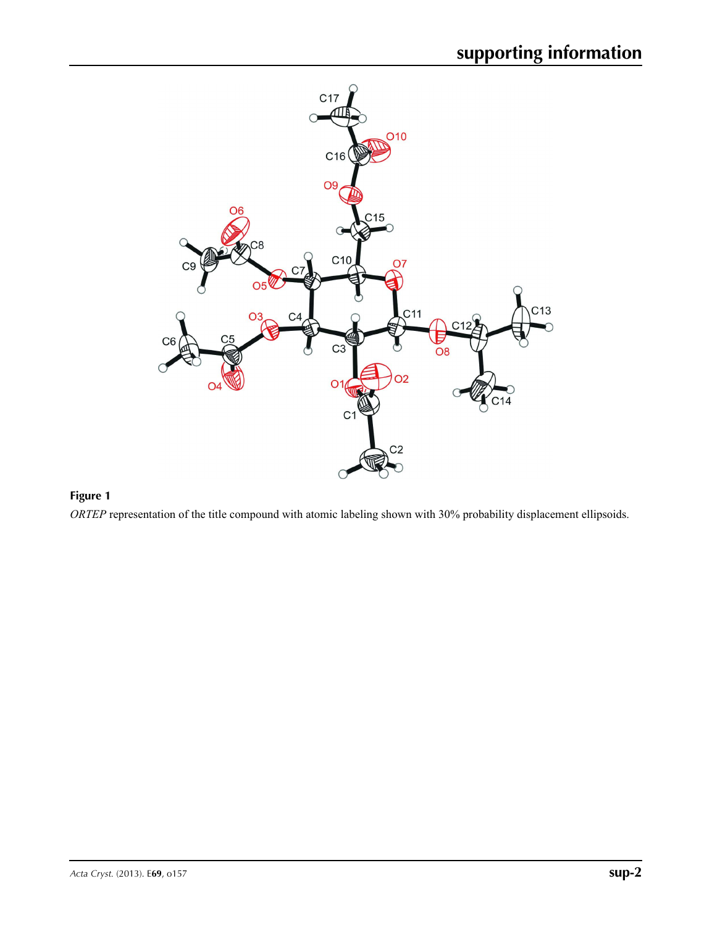

## **Figure 1**

*ORTEP* representation of the title compound with atomic labeling shown with 30% probability displacement ellipsoids.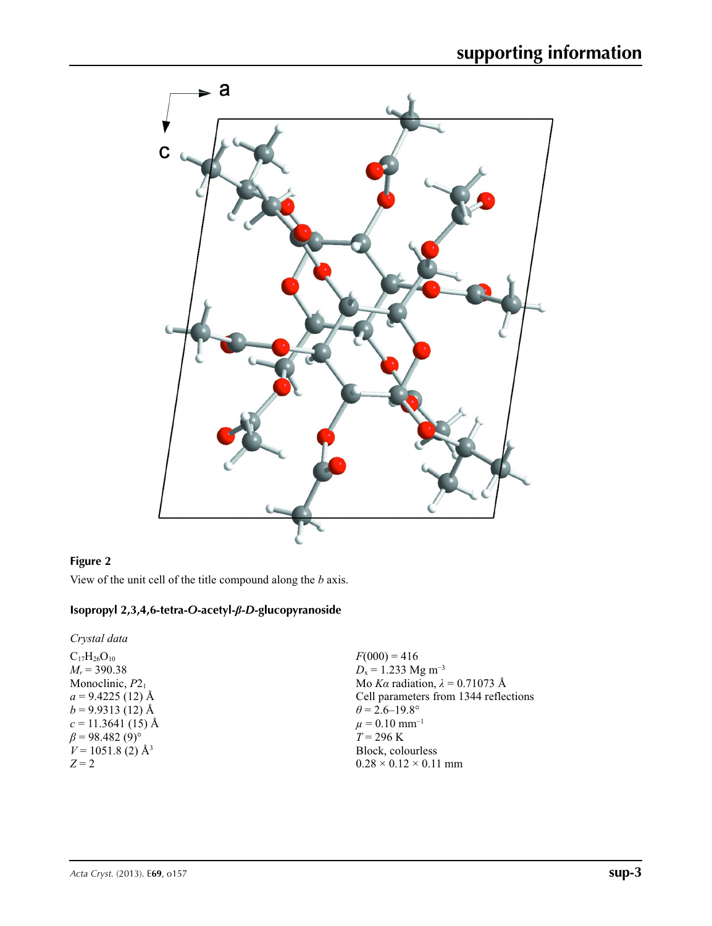

## **Figure 2**

View of the unit cell of the title compound along the *b* axis.

## **Isopropyl 2,3,4,6-tetra-***O***-acetyl-***β***-***D***-glucopyranoside**

*Crystal data*

 $C_{17}H_{26}O_{10}$ *Mr* = 390.38 Monoclinic,  $P2<sub>1</sub>$  $a = 9.4225(12)$  Å  $b = 9.9313(12)$  Å  $c = 11.3641(15)$  Å  $\beta$  = 98.482 (9)<sup>°</sup>  $V = 1051.8$  (2) Å<sup>3</sup> *Z* = 2

 $F(000) = 416$ *D*<sub>x</sub> = 1.233 Mg m<sup>-3</sup> Mo *Kα* radiation, *λ* = 0.71073 Å Cell parameters from 1344 reflections  $\theta = 2.6 - 19.8^{\circ}$  $\mu = 0.10$  mm<sup>-1</sup>  $T = 296 \text{ K}$ Block, colourless  $0.28 \times 0.12 \times 0.11$  mm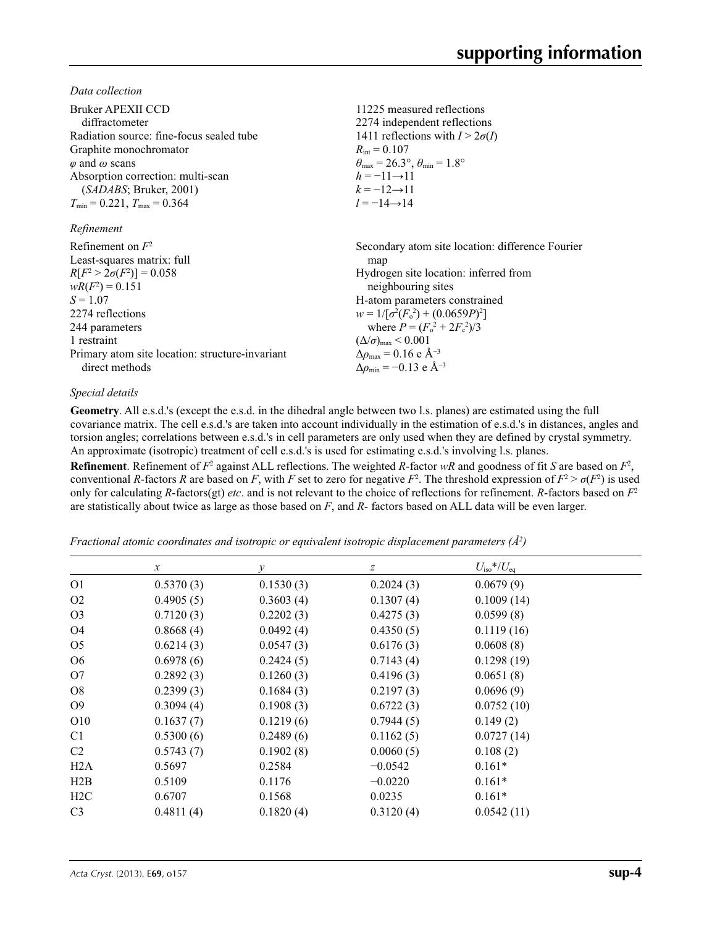*Data collection*

| Bruker APEXII CCD                               | 11225 measured reflections                                              |
|-------------------------------------------------|-------------------------------------------------------------------------|
| diffractometer                                  | 2274 independent reflections                                            |
| Radiation source: fine-focus sealed tube        | 1411 reflections with $I > 2\sigma(I)$                                  |
| Graphite monochromator                          | $R_{\rm int} = 0.107$                                                   |
| $\varphi$ and $\omega$ scans                    | $\theta_{\text{max}} = 26.3^{\circ}, \theta_{\text{min}} = 1.8^{\circ}$ |
| Absorption correction: multi-scan               | $h = -11 \rightarrow 11$                                                |
| (SADABS; Bruker, 2001)                          | $k = -12 \rightarrow 11$                                                |
| $T_{\min}$ = 0.221, $T_{\max}$ = 0.364          | $l = -14 \rightarrow 14$                                                |
| Refinement                                      |                                                                         |
| Refinement on $F^2$                             | Secondary atom site location: difference Fourier                        |
| Least-squares matrix: full                      | map                                                                     |
| $R[F^2 > 2\sigma(F^2)] = 0.058$                 | Hydrogen site location: inferred from                                   |
| $wR(F^2) = 0.151$                               | neighbouring sites                                                      |
| $S = 1.07$                                      | H-atom parameters constrained                                           |
| 2274 reflections                                | $w = 1/[\sigma^2(F_0^2) + (0.0659P)^2]$                                 |
| 244 parameters                                  | where $P = (F_0^2 + 2F_c^2)/3$                                          |
| 1 restraint                                     | $(\Delta/\sigma)_{\text{max}}$ < 0.001                                  |
| Primary atom site location: structure-invariant | $\Delta\rho_{\rm max} = 0.16 \text{ e } \text{\AA}^{-3}$                |
| direct methods                                  | $\Delta\rho_{\rm min} = -0.13$ e Å <sup>-3</sup>                        |

## *Special details*

**Geometry**. All e.s.d.'s (except the e.s.d. in the dihedral angle between two l.s. planes) are estimated using the full covariance matrix. The cell e.s.d.'s are taken into account individually in the estimation of e.s.d.'s in distances, angles and torsion angles; correlations between e.s.d.'s in cell parameters are only used when they are defined by crystal symmetry. An approximate (isotropic) treatment of cell e.s.d.'s is used for estimating e.s.d.'s involving l.s. planes.

**Refinement**. Refinement of  $F^2$  against ALL reflections. The weighted *R*-factor  $wR$  and goodness of fit *S* are based on  $F^2$ , conventional *R*-factors *R* are based on *F*, with *F* set to zero for negative  $F^2$ . The threshold expression of  $F^2 > \sigma(F^2)$  is used only for calculating *R*-factors(gt) *etc*. and is not relevant to the choice of reflections for refinement. *R*-factors based on *F*<sup>2</sup> are statistically about twice as large as those based on *F*, and *R*- factors based on ALL data will be even larger.

*Fractional atomic coordinates and isotropic or equivalent isotropic displacement parameters (Å<sup>2</sup>)* 

|                 | $\mathcal{X}$ | у         | $\boldsymbol{Z}$ | $U_{\rm iso}$ */ $U_{\rm eq}$ |  |
|-----------------|---------------|-----------|------------------|-------------------------------|--|
| O <sub>1</sub>  | 0.5370(3)     | 0.1530(3) | 0.2024(3)        | 0.0679(9)                     |  |
| O <sub>2</sub>  | 0.4905(5)     | 0.3603(4) | 0.1307(4)        | 0.1009(14)                    |  |
| O <sub>3</sub>  | 0.7120(3)     | 0.2202(3) | 0.4275(3)        | 0.0599(8)                     |  |
| O4              | 0.8668(4)     | 0.0492(4) | 0.4350(5)        | 0.1119(16)                    |  |
| O <sub>5</sub>  | 0.6214(3)     | 0.0547(3) | 0.6176(3)        | 0.0608(8)                     |  |
| O <sub>6</sub>  | 0.6978(6)     | 0.2424(5) | 0.7143(4)        | 0.1298(19)                    |  |
| O <sub>7</sub>  | 0.2892(3)     | 0.1260(3) | 0.4196(3)        | 0.0651(8)                     |  |
| O8              | 0.2399(3)     | 0.1684(3) | 0.2197(3)        | 0.0696(9)                     |  |
| O <sub>9</sub>  | 0.3094(4)     | 0.1908(3) | 0.6722(3)        | 0.0752(10)                    |  |
| O <sub>10</sub> | 0.1637(7)     | 0.1219(6) | 0.7944(5)        | 0.149(2)                      |  |
| C <sub>1</sub>  | 0.5300(6)     | 0.2489(6) | 0.1162(5)        | 0.0727(14)                    |  |
| C2              | 0.5743(7)     | 0.1902(8) | 0.0060(5)        | 0.108(2)                      |  |
| H2A             | 0.5697        | 0.2584    | $-0.0542$        | $0.161*$                      |  |
| H2B             | 0.5109        | 0.1176    | $-0.0220$        | $0.161*$                      |  |
| H2C             | 0.6707        | 0.1568    | 0.0235           | $0.161*$                      |  |
| C <sub>3</sub>  | 0.4811(4)     | 0.1820(4) | 0.3120(4)        | 0.0542(11)                    |  |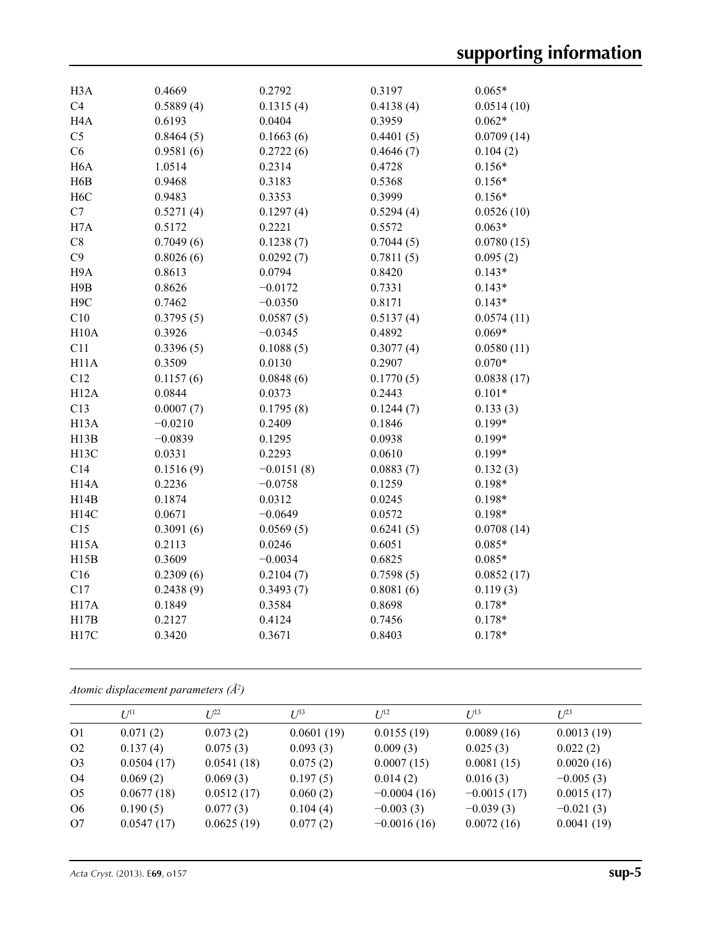| H <sub>3</sub> A  | 0.4669    | 0.2792       | 0.3197    | $0.065*$   |
|-------------------|-----------|--------------|-----------|------------|
| C <sub>4</sub>    | 0.5889(4) | 0.1315(4)    | 0.4138(4) | 0.0514(10) |
| H <sub>4</sub> A  | 0.6193    | 0.0404       | 0.3959    | $0.062*$   |
| C <sub>5</sub>    | 0.8464(5) | 0.1663(6)    | 0.4401(5) | 0.0709(14) |
| C6                | 0.9581(6) | 0.2722(6)    | 0.4646(7) | 0.104(2)   |
| H <sub>6</sub> A  | 1.0514    | 0.2314       | 0.4728    | $0.156*$   |
| H6B               | 0.9468    | 0.3183       | 0.5368    | $0.156*$   |
| H <sub>6</sub> C  | 0.9483    | 0.3353       | 0.3999    | $0.156*$   |
| C7                | 0.5271(4) | 0.1297(4)    | 0.5294(4) | 0.0526(10) |
| H7A               | 0.5172    | 0.2221       | 0.5572    | $0.063*$   |
| C8                | 0.7049(6) | 0.1238(7)    | 0.7044(5) | 0.0780(15) |
| C9                | 0.8026(6) | 0.0292(7)    | 0.7811(5) | 0.095(2)   |
| H9A               | 0.8613    | 0.0794       | 0.8420    | $0.143*$   |
| H9B               | 0.8626    | $-0.0172$    | 0.7331    | $0.143*$   |
| H <sub>9</sub> C  | 0.7462    | $-0.0350$    | 0.8171    | $0.143*$   |
| C10               | 0.3795(5) | 0.0587(5)    | 0.5137(4) | 0.0574(11) |
| H10A              | 0.3926    | $-0.0345$    | 0.4892    | $0.069*$   |
| C11               | 0.3396(5) | 0.1088(5)    | 0.3077(4) | 0.0580(11) |
| H11A              | 0.3509    | 0.0130       | 0.2907    | $0.070*$   |
| C12               | 0.1157(6) | 0.0848(6)    | 0.1770(5) | 0.0838(17) |
| H12A              | 0.0844    | 0.0373       | 0.2443    | $0.101*$   |
| C13               | 0.0007(7) | 0.1795(8)    | 0.1244(7) | 0.133(3)   |
| H <sub>13</sub> A | $-0.0210$ | 0.2409       | 0.1846    | $0.199*$   |
| H13B              | $-0.0839$ | 0.1295       | 0.0938    | $0.199*$   |
| H <sub>13</sub> C | 0.0331    | 0.2293       | 0.0610    | $0.199*$   |
| C14               | 0.1516(9) | $-0.0151(8)$ | 0.0883(7) | 0.132(3)   |
| H <sub>14</sub> A | 0.2236    | $-0.0758$    | 0.1259    | $0.198*$   |
| H14B              | 0.1874    | 0.0312       | 0.0245    | $0.198*$   |
| H14C              | 0.0671    | $-0.0649$    | 0.0572    | $0.198*$   |
| C15               | 0.3091(6) | 0.0569(5)    | 0.6241(5) | 0.0708(14) |
| H <sub>15</sub> A | 0.2113    | 0.0246       | 0.6051    | $0.085*$   |
| H15B              | 0.3609    | $-0.0034$    | 0.6825    | $0.085*$   |
| C16               | 0.2309(6) | 0.2104(7)    | 0.7598(5) | 0.0852(17) |
| C17               | 0.2438(9) | 0.3493(7)    | 0.8081(6) | 0.119(3)   |
| H17A              | 0.1849    | 0.3584       | 0.8698    | $0.178*$   |
| H17B              | 0.2127    | 0.4124       | 0.7456    | $0.178*$   |
| H17C              | 0.3420    | 0.3671       | 0.8403    | $0.178*$   |
|                   |           |              |           |            |

*Atomic displacement parameters (Å2 )*

|                | $I^{11}$   | $I^{22}$   | $I^{\beta 3}$ | $I^{12}$      | $U^{13}$      | $U^{23}$    |
|----------------|------------|------------|---------------|---------------|---------------|-------------|
| O <sub>1</sub> | 0.071(2)   | 0.073(2)   | 0.0601(19)    | 0.0155(19)    | 0.0089(16)    | 0.0013(19)  |
| O <sub>2</sub> | 0.137(4)   | 0.075(3)   | 0.093(3)      | 0.009(3)      | 0.025(3)      | 0.022(2)    |
| O <sub>3</sub> | 0.0504(17) | 0.0541(18) | 0.075(2)      | 0.0007(15)    | 0.0081(15)    | 0.0020(16)  |
| O4             | 0.069(2)   | 0.069(3)   | 0.197(5)      | 0.014(2)      | 0.016(3)      | $-0.005(3)$ |
| O <sub>5</sub> | 0.0677(18) | 0.0512(17) | 0.060(2)      | $-0.0004(16)$ | $-0.0015(17)$ | 0.0015(17)  |
| O <sub>6</sub> | 0.190(5)   | 0.077(3)   | 0.104(4)      | $-0.003(3)$   | $-0.039(3)$   | $-0.021(3)$ |
| O7             | 0.0547(17) | 0.0625(19) | 0.077(2)      | $-0.0016(16)$ | 0.0072(16)    | 0.0041(19)  |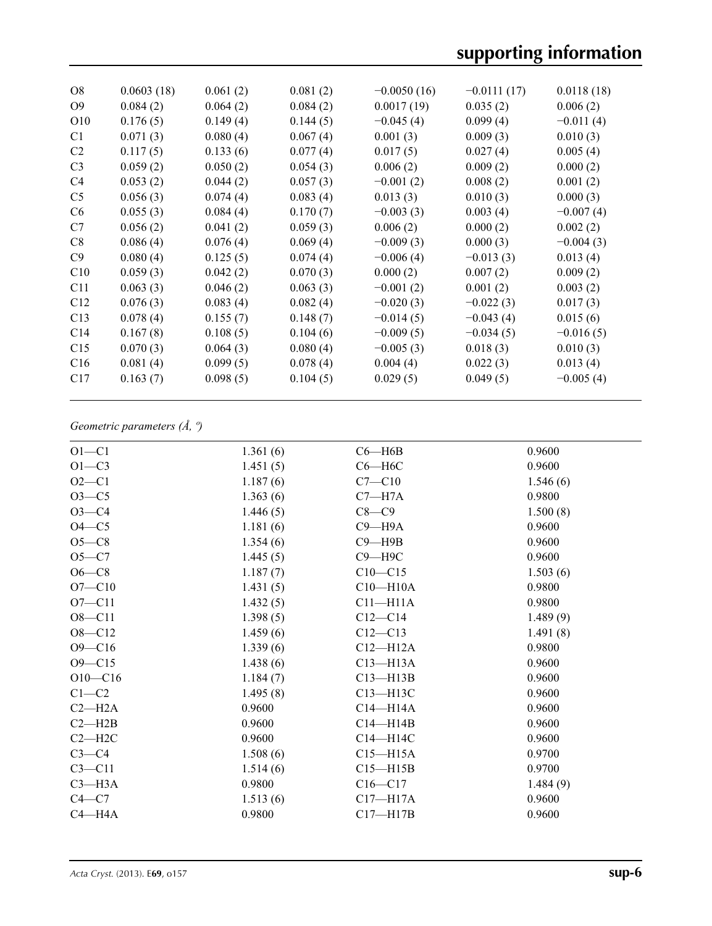| <b>O8</b>       | 0.0603(18) | 0.061(2) | 0.081(2) | $-0.0050(16)$ | $-0.0111(17)$ | 0.0118(18)  |
|-----------------|------------|----------|----------|---------------|---------------|-------------|
| O <sub>9</sub>  | 0.084(2)   | 0.064(2) | 0.084(2) | 0.0017(19)    | 0.035(2)      | 0.006(2)    |
| O <sub>10</sub> | 0.176(5)   | 0.149(4) | 0.144(5) | $-0.045(4)$   | 0.099(4)      | $-0.011(4)$ |
| C <sub>1</sub>  | 0.071(3)   | 0.080(4) | 0.067(4) | 0.001(3)      | 0.009(3)      | 0.010(3)    |
| C <sub>2</sub>  | 0.117(5)   | 0.133(6) | 0.077(4) | 0.017(5)      | 0.027(4)      | 0.005(4)    |
| C <sub>3</sub>  | 0.059(2)   | 0.050(2) | 0.054(3) | 0.006(2)      | 0.009(2)      | 0.000(2)    |
| C <sub>4</sub>  | 0.053(2)   | 0.044(2) | 0.057(3) | $-0.001(2)$   | 0.008(2)      | 0.001(2)    |
| C <sub>5</sub>  | 0.056(3)   | 0.074(4) | 0.083(4) | 0.013(3)      | 0.010(3)      | 0.000(3)    |
| C <sub>6</sub>  | 0.055(3)   | 0.084(4) | 0.170(7) | $-0.003(3)$   | 0.003(4)      | $-0.007(4)$ |
| C7              | 0.056(2)   | 0.041(2) | 0.059(3) | 0.006(2)      | 0.000(2)      | 0.002(2)    |
| C8              | 0.086(4)   | 0.076(4) | 0.069(4) | $-0.009(3)$   | 0.000(3)      | $-0.004(3)$ |
| C9              | 0.080(4)   | 0.125(5) | 0.074(4) | $-0.006(4)$   | $-0.013(3)$   | 0.013(4)    |
| C10             | 0.059(3)   | 0.042(2) | 0.070(3) | 0.000(2)      | 0.007(2)      | 0.009(2)    |
| C <sub>11</sub> | 0.063(3)   | 0.046(2) | 0.063(3) | $-0.001(2)$   | 0.001(2)      | 0.003(2)    |
| C12             | 0.076(3)   | 0.083(4) | 0.082(4) | $-0.020(3)$   | $-0.022(3)$   | 0.017(3)    |
| C13             | 0.078(4)   | 0.155(7) | 0.148(7) | $-0.014(5)$   | $-0.043(4)$   | 0.015(6)    |
| C <sub>14</sub> | 0.167(8)   | 0.108(5) | 0.104(6) | $-0.009(5)$   | $-0.034(5)$   | $-0.016(5)$ |
| C15             | 0.070(3)   | 0.064(3) | 0.080(4) | $-0.005(3)$   | 0.018(3)      | 0.010(3)    |
| C16             | 0.081(4)   | 0.099(5) | 0.078(4) | 0.004(4)      | 0.022(3)      | 0.013(4)    |
| C17             | 0.163(7)   | 0.098(5) | 0.104(5) | 0.029(5)      | 0.049(5)      | $-0.005(4)$ |
|                 |            |          |          |               |               |             |

## *Geometric parameters (Å, º)*

| $O1 - C1$   | 1.361(6) | $C6 - H6B$   | 0.9600   |
|-------------|----------|--------------|----------|
| $O1 - C3$   | 1.451(5) | $C6 - H6C$   | 0.9600   |
| $O2 - C1$   | 1.187(6) | $C7 - C10$   | 1.546(6) |
| $O3-C5$     | 1.363(6) | $C7 - H7A$   | 0.9800   |
| $O3 - C4$   | 1.446(5) | $C8-C9$      | 1.500(8) |
| $O4-C5$     | 1.181(6) | $C9 - H9A$   | 0.9600   |
| $O5-C8$     | 1.354(6) | $C9 - H9B$   | 0.9600   |
| $O5-C7$     | 1.445(5) | $C9 - H9C$   | 0.9600   |
| $O6-C8$     | 1.187(7) | $C10 - C15$  | 1.503(6) |
| $O7 - C10$  | 1.431(5) | $C10 - H10A$ | 0.9800   |
| $O7 - C11$  | 1.432(5) | $C11 - H11A$ | 0.9800   |
| $O8 - C11$  | 1.398(5) | $C12-C14$    | 1.489(9) |
| $O8 - C12$  | 1.459(6) | $C12 - C13$  | 1.491(8) |
| $O9 - C16$  | 1.339(6) | $C12 - H12A$ | 0.9800   |
| $O9 - C15$  | 1.438(6) | $C13 - H13A$ | 0.9600   |
| $O10 - C16$ | 1.184(7) | $C13 - H13B$ | 0.9600   |
| $C1-C2$     | 1.495(8) | $C13 - H13C$ | 0.9600   |
| $C2-H2A$    | 0.9600   | $C14 - H14A$ | 0.9600   |
| $C2 - H2B$  | 0.9600   | $C14 - H14B$ | 0.9600   |
| $C2 - H2C$  | 0.9600   | C14-H14C     | 0.9600   |
| $C3-C4$     | 1.508(6) | $C15 - H15A$ | 0.9700   |
| $C3 - C11$  | 1.514(6) | $C15 - H15B$ | 0.9700   |
| $C3 - H3A$  | 0.9800   | $C16 - C17$  | 1.484(9) |
| $C4 - C7$   | 1.513(6) | $C17 - H17A$ | 0.9600   |
| $C4 - H4A$  | 0.9800   | $C17 - H17B$ | 0.9600   |
|             |          |              |          |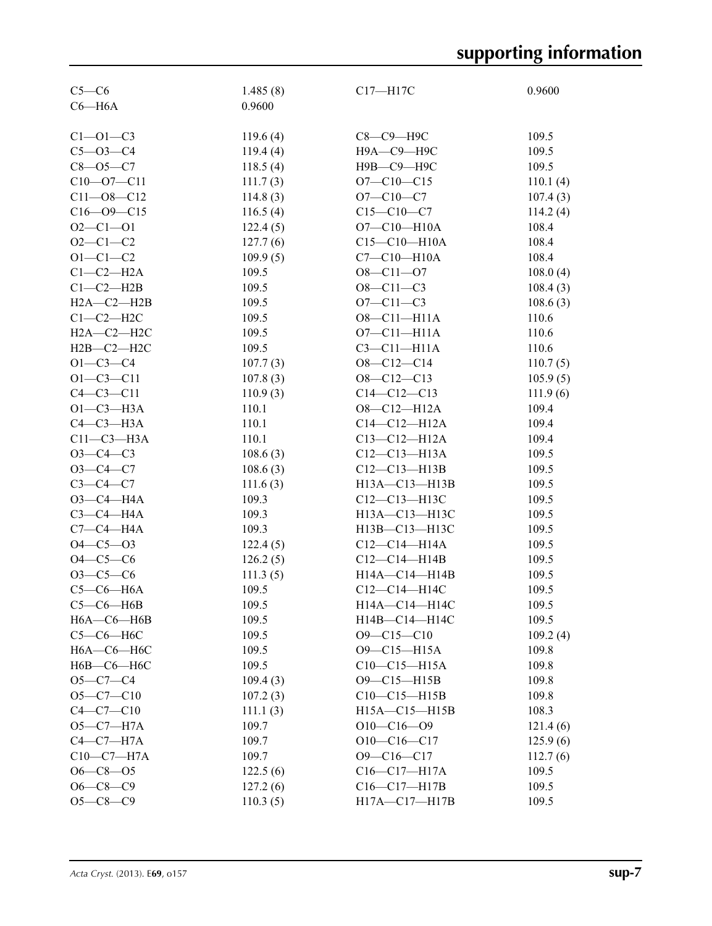| $C5-C6$          | 1.485(8) | C17-H17C           | 0.9600   |
|------------------|----------|--------------------|----------|
| $C6 - H6A$       | 0.9600   |                    |          |
|                  |          |                    |          |
| $C1 - 01 - C3$   | 119.6(4) | С8-С9-Н9С          | 109.5    |
| $C5 - O3 - C4$   | 119.4(4) | Н9А-С9-Н9С         | 109.5    |
| $C8 - O5 - C7$   | 118.5(4) | Н9В-С9-Н9С         | 109.5    |
| $C10 - 07 - C11$ | 111.7(3) | $O7 - C10 - C15$   | 110.1(4) |
| $C11 - 08 - C12$ | 114.8(3) | $O7 - C10 - C7$    | 107.4(3) |
| $C16 - 09 - C15$ | 116.5(4) | $C15 - C10 - C7$   | 114.2(4) |
| $O2 - C1 - O1$   | 122.4(5) | $O7 - C10 - H10A$  | 108.4    |
| $O2 - C1 - C2$   | 127.7(6) | $C15 - C10 - H10A$ | 108.4    |
| $O1 - C1 - C2$   | 109.9(5) | $C7 - C10 - H10A$  | 108.4    |
| $C1-C2-H2A$      | 109.5    | $O8 - Cl1 - O7$    | 108.0(4) |
| $C1-C2-H2B$      | 109.5    | $O8 - C11 - C3$    | 108.4(3) |
| $H2A-C2-H2B$     | 109.5    | $O7 - C11 - C3$    | 108.6(3) |
| $C1-C2-H2C$      | 109.5    | $O8 - Cl1 - H11A$  | 110.6    |
| $H2A-C2-H2C$     | 109.5    | $O7 - C11 - H11A$  | 110.6    |
| $H2B-C2-H2C$     | 109.5    | $C3-C11-H11A$      | 110.6    |
| $O1 - C3 - C4$   | 107.7(3) | $O8 - C12 - C14$   | 110.7(5) |
| $O1 - C3 - C11$  | 107.8(3) | $O8 - C12 - C13$   | 105.9(5) |
| $C4 - C3 - C11$  | 110.9(3) | $C14 - C12 - C13$  | 111.9(6) |
| $O1-C3-H3A$      | 110.1    | $O8 - Cl2 - H12A$  | 109.4    |
| $C4-C3-H3A$      | 110.1    | $C14 - C12 - H12A$ | 109.4    |
| $C11-C3-H3A$     | 110.1    | $C13 - C12 - H12A$ | 109.4    |
| $O3 - C4 - C3$   | 108.6(3) | $C12 - C13 - H13A$ | 109.5    |
| $O3 - C4 - C7$   | 108.6(3) | $C12 - C13 - H13B$ | 109.5    |
| $C3-C4-C7$       |          | H13A-C13-H13B      | 109.5    |
| $O3 - C4 - H4A$  | 111.6(3) |                    | 109.5    |
|                  | 109.3    | $C12 - C13 - H13C$ |          |
| $C3-C4-H4A$      | 109.3    | H13A-C13-H13C      | 109.5    |
| $C7-C4-H4A$      | 109.3    | H13B-C13-H13C      | 109.5    |
| $O4 - C5 - O3$   | 122.4(5) | $C12-C14-H14A$     | 109.5    |
| $O4 - C5 - C6$   | 126.2(5) | $C12-C14-H14B$     | 109.5    |
| $O3-C5-C6$       | 111.3(5) | H14A-C14-H14B      | 109.5    |
| $C5-C6-H6A$      | 109.5    | C12-C14-H14C       | 109.5    |
| $C5-C6-H6B$      | 109.5    | H14A-C14-H14C      | 109.5    |
| $H6A - C6 - H6B$ | 109.5    | H14B-C14-H14C      | 109.5    |
| $C5-C6-H6C$      | 109.5    | $O9 - C15 - C10$   | 109.2(4) |
| $H6A - C6 - H6C$ | 109.5    | O9-C15-H15A        | 109.8    |
| $H6B-C6-H6C$     | 109.5    | $C10-C15-H15A$     | 109.8    |
| $O5-C7-C4$       | 109.4(3) | O9-C15-H15B        | 109.8    |
| $O5-C7-C10$      | 107.2(3) | $C10-C15-H15B$     | 109.8    |
| $C4 - C7 - C10$  | 111.1(3) | H15A-C15-H15B      | 108.3    |
| $O5 - C7 - H7A$  | 109.7    | $O10-C16-O9$       | 121.4(6) |
| $C4-C7-H7A$      | 109.7    | $O10-C16-C17$      | 125.9(6) |
| $C10-C7-H7A$     | 109.7    | $O9 - C16 - C17$   | 112.7(6) |
| $O6 - C8 - O5$   | 122.5(6) | $C16 - C17 - H17A$ | 109.5    |
| $O6 - C8 - C9$   | 127.2(6) | C16-C17-H17B       | 109.5    |
| $O5 - C8 - C9$   | 110.3(5) | H17A-C17-H17B      | 109.5    |